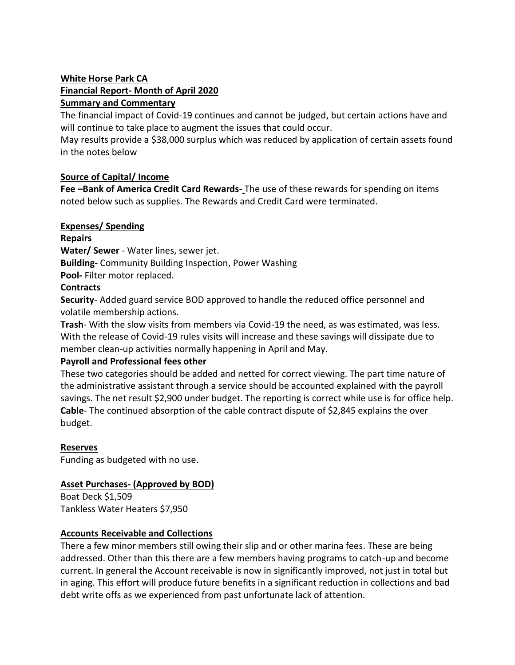### **White Horse Park CA Financial Report- Month of April 2020 Summary and Commentary**

The financial impact of Covid-19 continues and cannot be judged, but certain actions have and will continue to take place to augment the issues that could occur.

May results provide a \$38,000 surplus which was reduced by application of certain assets found in the notes below

## **Source of Capital/ Income**

**Fee –Bank of America Credit Card Rewards-** The use of these rewards for spending on items noted below such as supplies. The Rewards and Credit Card were terminated.

### **Expenses/ Spending**

**Repairs**

**Water/ Sewer** - Water lines, sewer jet.

**Building-** Community Building Inspection, Power Washing

**Pool-** Filter motor replaced.

## **Contracts**

**Security**- Added guard service BOD approved to handle the reduced office personnel and volatile membership actions.

**Trash**- With the slow visits from members via Covid-19 the need, as was estimated, was less. With the release of Covid-19 rules visits will increase and these savings will dissipate due to member clean-up activities normally happening in April and May.

### **Payroll and Professional fees other**

These two categories should be added and netted for correct viewing. The part time nature of the administrative assistant through a service should be accounted explained with the payroll savings. The net result \$2,900 under budget. The reporting is correct while use is for office help. **Cable**- The continued absorption of the cable contract dispute of \$2,845 explains the over budget.

# **Reserves**

Funding as budgeted with no use.

# **Asset Purchases- (Approved by BOD)**

Boat Deck \$1,509 Tankless Water Heaters \$7,950

### **Accounts Receivable and Collections**

There a few minor members still owing their slip and or other marina fees. These are being addressed. Other than this there are a few members having programs to catch-up and become current. In general the Account receivable is now in significantly improved, not just in total but in aging. This effort will produce future benefits in a significant reduction in collections and bad debt write offs as we experienced from past unfortunate lack of attention.